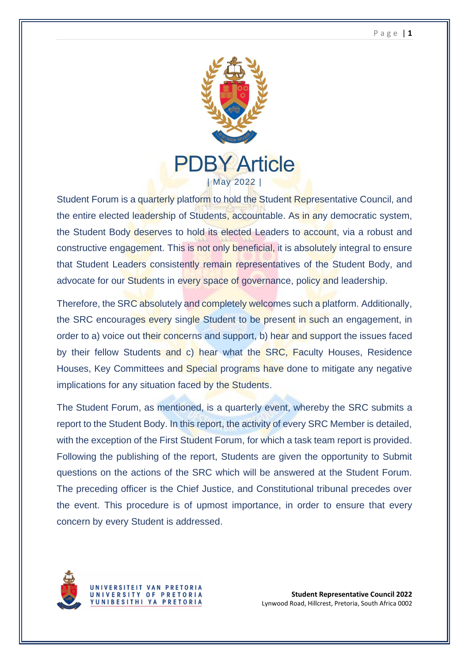## P a g e | **1**



Student Forum is a quarterly platform to hold the Student Representative Council, and the entire elected leadership of Students, accountable. As in any democratic system, the Student Body deserves to hold its elected Leaders to account, via a robust and constructive engagement. This is not only beneficial, it is absolutely integral to ensure that Student Leaders consistently remain representatives of the Student Body, and advocate for our Students in every space of governance, policy and leadership.

Therefore, the SRC absolutely and completely welcomes such a platform. Additionally, the SRC encourages every single Student to be present in such an engagement, in order to a) voice out their concerns and support, b) hear and support the issues faced by their fellow Students and c) hear what the SRC, Faculty Houses, Residence Houses, Key Committees and Special programs have done to mitigate any negative implications for any situation faced by the Students.

The Student Forum, as mentioned, is a quarterly event, whereby the SRC submits a report to the Student Body. In this report, the activity of every SRC Member is detailed, with the exception of the First Student Forum, for which a task team report is provided. Following the publishing of the report, Students are given the opportunity to Submit questions on the actions of the SRC which will be answered at the Student Forum. The preceding officer is the Chief Justice, and Constitutional tribunal precedes over the event. This procedure is of upmost importance, in order to ensure that every concern by every Student is addressed.



**Student Representative Council 2022** Lynwood Road, Hillcrest, Pretoria, South Africa 0002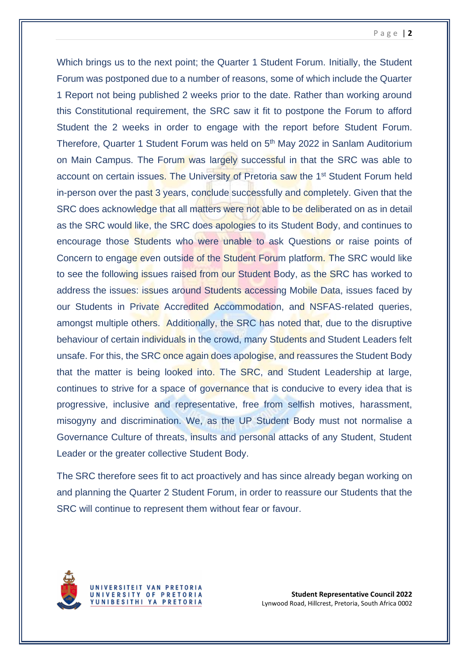## P a g e | **2**

Which brings us to the next point; the Quarter 1 Student Forum. Initially, the Student Forum was postponed due to a number of reasons, some of which include the Quarter 1 Report not being published 2 weeks prior to the date. Rather than working around this Constitutional requirement, the SRC saw it fit to postpone the Forum to afford Student the 2 weeks in order to engage with the report before Student Forum. Therefore, Quarter 1 Student Forum was held on 5<sup>th</sup> May 2022 in Sanlam Auditorium on Main Campus. The Forum was largely successful in that the SRC was able to account on certain issues. The University of Pretoria saw the 1st Student Forum held in-person over the past 3 years, conclude successfully and completely. Given that the SRC does acknowledge that all matters were not able to be deliberated on as in detail as the SRC would like, the SRC does apologies to its Student Body, and continues to encourage those Students who were unable to ask Questions or raise points of Concern to engage even outside of the Student Forum platform. The SRC would like to see the following issues raised from our Student Body, as the SRC has worked to address the issues: issues around Students accessing Mobile Data, issues faced by our Students in Private Accredited Accommodation, and NSFAS-related queries, amongst multiple others. Additionally, the SRC has noted that, due to the disruptive behaviour of certain individuals in the crowd, many Students and Student Leaders felt unsafe. For this, the SRC once again does apologise, and reassures the Student Body that the matter is being looked into. The SRC, and Student Leadership at large, continues to strive for a space of governance that is conducive to every idea that is progressive, inclusive and representative, free from selfish motives, harassment, misogyny and discrimination. We, as the UP Student Body must not normalise a Governance Culture of threats, insults and personal attacks of any Student, Student Leader or the greater collective Student Body.

The SRC therefore sees fit to act proactively and has since already began working on and planning the Quarter 2 Student Forum, in order to reassure our Students that the SRC will continue to represent them without fear or favour.